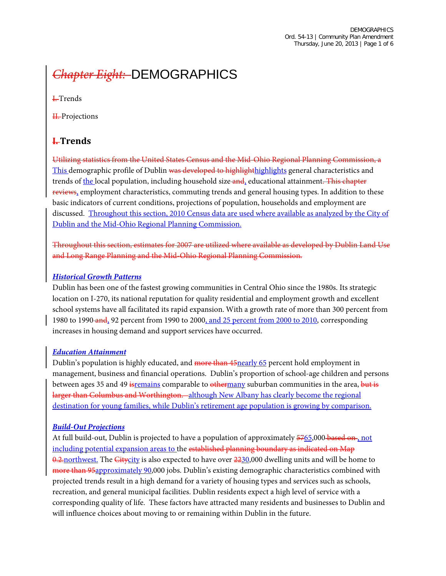# *Chapter Eight:* DEMOGRAPHICS

I. Trends

H.-Projections

#### **I. Trends**

Utilizing statistics from the United States Census and the Mid-Ohio Regional Planning Commission, a This demographic profile of Dublin was developed to highlighthighlights general characteristics and trends of the local population, including household size and, educational attainment. This chapter reviews, employment characteristics, commuting trends and general housing types. In addition to these basic indicators of current conditions, projections of population, households and employment are discussed. Throughout this section, 2010 Census data are used where available as analyzed by the City of Dublin and the Mid-Ohio Regional Planning Commission.

Throughout this section, estimates for 2007 are utilized where available as developed by Dublin Land Use and Long Range Planning and the Mid-Ohio Regional Planning Commission.

#### *Historical Growth Patterns*

Dublin has been one of the fastest growing communities in Central Ohio since the 1980s. Its strategic location on I-270, its national reputation for quality residential and employment growth and excellent school systems have all facilitated its rapid expansion. With a growth rate of more than 300 percent from 1980 to 1990 and, 92 percent from 1990 to 2000, and 25 percent from 2000 to 2010, corresponding increases in housing demand and support services have occurred.

#### *Education Attainment*

Dublin's population is highly educated, and more than 45 nearly 65 percent hold employment in management, business and financial operations. Dublin's proportion of school-age children and persons between ages 35 and 49 istemains comparable to othermany suburban communities in the area, but is larger than Columbus and Worthington. -although New Albany has clearly become the regional destination for young families, while Dublin's retirement age population is growing by comparison.

#### *Build-Out Projections*

<span id="page-0-0"></span>At full build-out, Dublin is projected to have a population of approximately 5765,000 based on, not including potential expansion areas to the established planning boundary as indicated on Map 0.2. northwest. The Citycity is also expected to have over 2230,000 dwelling units and will be home to more than 95approximately 90,000 jobs. Dublin's existing demographic characteristics combined with projected trends result in a high demand for a variety of housing types and services such as schools, recreation, and general municipal facilities. Dublin residents expect a high level of service with a corresponding quality of life. These factors have attracted many residents and businesses to Dublin and will influence choices about moving to or remaining within Dublin in the future.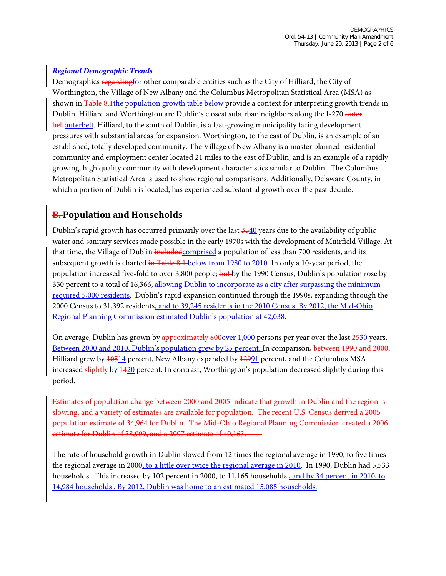#### *Regional Demographic Trends*

Demographics regarding for other comparable entities such as the City of Hilliard, the City of Worthington, the Village of New Albany and the Columbus Metropolitan Statistical Area (MSA) as shown in Table 8.1 the population growth table below provide a context for interpreting growth trends in Dublin. Hilliard and Worthington are Dublin's closest suburban neighbors along the I-270 outer beltouterbelt. Hilliard, to the south of Dublin, is a fast-growing municipality facing development pressures with substantial areas for expansion. Worthington, to the east of Dublin, is an example of an established, totally developed community. The Village of New Albany is a master planned residential community and employment center located 21 miles to the east of Dublin, and is an example of a rapidly growing, high quality community with development characteristics similar to Dublin. The Columbus Metropolitan Statistical Area is used to show regional comparisons. Additionally, Delaware County, in which a portion of Dublin is located, has experienced substantial growth over the past decade.

## **B. Population and Households**

Dublin's rapid growth has occurred primarily over the last 3540 years due to the availability of public water and sanitary services made possible in the early 1970s with the development of Muirfield Village. At that time, the Village of Dublin includedcomprised a population of less than 700 residents, and its subsequent growth is charted in Table 8.1. below from 1980 to 2010. In only a 10-year period, the population increased five-fold to over 3,800 people; but by the 1990 Census, Dublin's population rose by 350 percent to a total of 16,366, allowing Dublin to incorporate as a city after surpassing the minimum required 5,000 residents. Dublin's rapid expansion continued through the 1990s, expanding through the 2000 Census to 31,392 residents, and to 39,245 residents in the 2010 Census. By 2012, the Mid-Ohio Regional Planning Commission estimated Dublin's population at 42,038.

On average, Dublin has grown by approximately 800 over 1,000 persons per year over the last 2530 years. Between 2000 and 2010, Dublin's population grew by 25 percent. In comparison, between 1990 and 2000, Hilliard grew by  $\frac{10514}{100}$  percent, New Albany expanded by  $\frac{12991}{100}$  percent, and the Columbus MSA increased slightly by  $1420$  percent. In contrast, Worthington's population decreased slightly during this period.

Estimates of population change between 2000 and 2005 indicate that growth in Dublin and the region is slowing, and a variety of estimates are available for population. The recent U.S. Census derived a 2005 population estimate of 34,964 for Dublin. The Mid-Ohio Regional Planning Commission created a 2006 estimate for Dublin of 38,909, and a 2007 estimate of 40,163.

The rate of household growth in Dublin slowed from 12 times the regional average in 1990, to five times the regional average in 2000, to a little over twice the regional average in 2010. In 1990, Dublin had 5,533 households. This increased by 102 percent in 2000, to 11,165 households., and by 34 percent in 2010, to 14,984 households . By 2012, Dublin was home to an estimated 15,085 households.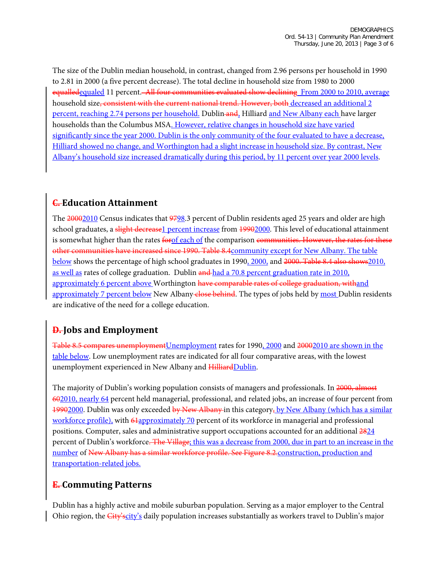The size of the Dublin median household, in contrast, changed from 2.96 persons per household in 1990 to 2.81 in 2000 (a five percent decrease). The total decline in household size from 1980 to 2000 equalledequaled 11 percent. All four communities evaluated show declining From 2000 to 2010, average household size, consistent with the current national trend. However, both decreased an additional 2 percent, reaching 2.74 persons per household. Dublin and, Hilliard and New Albany each have larger households than the Columbus MSA. However, relative changes in household size have varied significantly since the year 2000. Dublin is the only community of the four evaluated to have a decrease, Hilliard showed no change, and Worthington had a slight increase in household size. By contrast, New Albany's household size increased dramatically during this period, by 11 percent over year 2000 levels.

## **C. Education Attainment**

The 20002010 Census indicates that 9798.3 percent of Dublin residents aged 25 years and older are high school graduates, a slight decrease1 percent increase from 19902000. This level of educational attainment is somewhat higher than the rates for of each of the comparison communities. However, the rates for these other communities have increased since 1990. Table 8.4community except for New Albany. The table below shows the percentage of high school graduates in 1990, 2000, and 2000. Table 8.4 also shows2010, as well as rates of college graduation. Dublin and had a 70.8 percent graduation rate in 2010, approximately 6 percent above Worthington have comparable rates of college graduation, withand approximately 7 percent below New Albany-close behind. The types of jobs held by most Dublin residents are indicative of the need for a college education.

# **D. Jobs and Employment**

Table 8.5 compares unemployment Unemployment rates for 1990, 2000 and 20002010 are shown in the table below. Low unemployment rates are indicated for all four comparative areas, with the lowest unemployment experienced in New Albany and HilliardDublin.

The majority of Dublin's working population consists of managers and professionals. In 2000, almost 602010, nearly 64 percent held managerial, professional, and related jobs, an increase of four percent from 19902000. Dublin was only exceeded by New Albany in this category, by New Albany (which has a similar workforce profile), with 61approximately 70 percent of its workforce in managerial and professional positions. Computer, sales and administrative support occupations accounted for an additional 2824 percent of Dublin's workforce. The Village; this was a decrease from 2000, due in part to an increase in the number of New Albany has a similar workforce profile. See Figure 8.2.construction, production and transportation-related jobs.

## **E. Commuting Patterns**

Dublin has a highly active and mobile suburban population. Serving as a major employer to the Central Ohio region, the *City'scity's* daily population increases substantially as workers travel to Dublin's major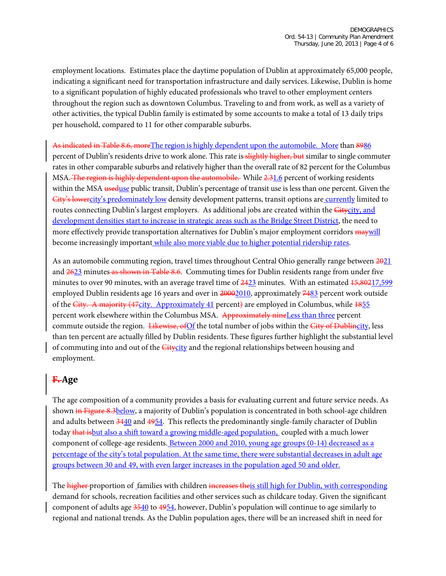employment locations. Estimates place the daytime population of Dublin at approximately 65,000 people, indicating a significant need for transportation infrastructure and daily services. Likewise, Dublin is home to a significant population of highly educated professionals who travel to other employment centers throughout the region such as downtown Columbus. Traveling to and from work, as well as a variety of other activities, the typical Dublin family is estimated by some accounts to make a total of 13 daily trips per household, compared to 11 for other comparable suburbs.

As indicated in Table 8.6, more The region is highly dependent upon the automobile. More than 8986 percent of Dublin's residents drive to work alone. This rate is slightly higher, but similar to single commuter rates in other comparable suburbs and relatively higher than the overall rate of 82 percent for the Columbus MSA. The region is highly dependent upon the automobile. While 2.31.6 percent of working residents within the MSA useduse public transit, Dublin's percentage of transit use is less than one percent. Given the City's lowercity's predominately low density development patterns, transit options are currently limited to routes connecting Dublin's largest employers. As additional jobs are created within the Gitycity, and development densities start to increase in strategic areas such as the Bridge Street District, the need to more effectively provide transportation alternatives for Dublin's major employment corridors  $\frac{maywill}{}$ become increasingly important while also more viable due to higher potential ridership rates.

As an automobile commuting region, travel times throughout Central Ohio generally range between  $\frac{2021}{20}$ and 2623 minutes as shown in Table 8.6. Commuting times for Dublin residents range from under five minutes to over 90 minutes, with an average travel time of  $\frac{2423}{100}$  minutes. With an estimated  $\frac{15,80217,599}{1000}$ employed Dublin residents age 16 years and over in 20002010, approximately 7483 percent work outside of the City. A majority (47city. Approximately 41 percent) are employed in Columbus, while 1855 percent work elsewhere within the Columbus MSA. Approximately nineLess than three percent commute outside the region. Likewise, of Of the total number of jobs within the City of Dublincity, less than ten percent are actually filled by Dublin residents. These figures further highlight the substantial level of commuting into and out of the *Citycity* and the regional relationships between housing and employment.

#### **F. Age**

The age composition of a community provides a basis for evaluating current and future service needs. As shown in Figure 8.3below, a majority of Dublin's population is concentrated in both school-age children and adults between 3440 and 4954. This reflects the predominantly single-family character of Dublin today that isbut also a shift toward a growing middle-aged population, coupled with a much lower component of college-age residents. Between 2000 and 2010, young age groups (0-14) decreased as a percentage of the city's total population. At the same time, there were substantial decreases in adult age groups between 30 and 49, with even larger increases in the population aged 50 and older.

The higher proportion of families with children increases theis still high for Dublin, with corresponding demand for schools, recreation facilities and other services such as childcare today. Given the significant component of adults age 3540 to 4954, however, Dublin's population will continue to age similarly to regional and national trends. As the Dublin population ages, there will be an increased shift in need for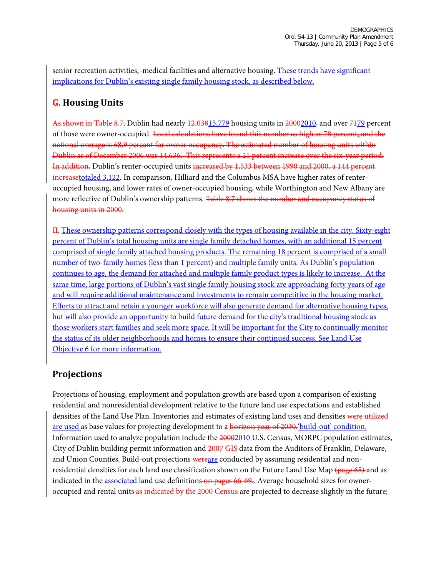senior recreation activities, medical facilities and alternative housing. These trends have significant implications for Dublin's existing single family housing stock, as described below.

## **G. Housing Units**

As shown in Table 8.7, Dublin had nearly 12,03815,779 housing units in 20002010, and over 7179 percent of those were owner-occupied. <del>Local calculations have found this number as high as 78 percent, and the</del> national average is 68.9 percent for owner occupancy. The estimated number of housing units within Dublin as of December 2006 was 14,636. This represents a 21 percent increase over the six-year period. In addition, Dublin's renter-occupied units increased by 1,533 between 1990 and 2000, a 144 percent increasetotaled 3,122. In comparison, Hilliard and the Columbus MSA have higher rates of renteroccupied housing, and lower rates of owner-occupied housing, while Worthington and New Albany are more reflective of Dublin's ownership patterns. Table 8.7 shows the number and occupancy status of housing units in 2000.

II. These ownership patterns correspond closely with the types of housing available in the city. Sixty-eight percent of Dublin's total housing units are single family detached homes, with an additional 15 percent comprised of single family attached housing products. The remaining 18 percent is comprised of a small number of two-family homes (less than 1 percent) and multiple family units. As Dublin's population continues to age, the demand for attached and multiple family product types is likely to increase. At the same time, large portions of Dublin's vast single family housing stock are approaching forty years of age and will require additional maintenance and investments to remain competitive in the housing market. Efforts to attract and retain a younger workforce will also generate demand for alternative housing types, but will also provide an opportunity to build future demand for the city's traditional housing stock as those workers start families and seek more space. It will be important for the City to continually monitor the status of its older neighborhoods and homes to ensure their continued success. See Land Use Objective 6 for more information.

## **Projections**

Projections of housing, employment and population growth are based upon a comparison of existing residential and nonresidential development relative to the future land use expectations and established densities of the Land Use Plan. Inventories and estimates of existing land uses and densities were utilized are used as base values for projecting development to a horizon year of 2030. 'build-out' condition. Information used to analyze population include the 20002010 U.S. Census, MORPC population estimates, City of Dublin building permit information and 2007 GIS data from the Auditors of Franklin, Delaware, and Union Counties. Build-out projections wereare conducted by assuming residential and nonresidential densities for each land use classification shown on the Future Land Use Map (page 65) and as indicated in the **associated** land use definitions on pages 66-69.. Average household sizes for owneroccupied and rental units as indicated by the 2000 Census are projected to decrease slightly in the future;